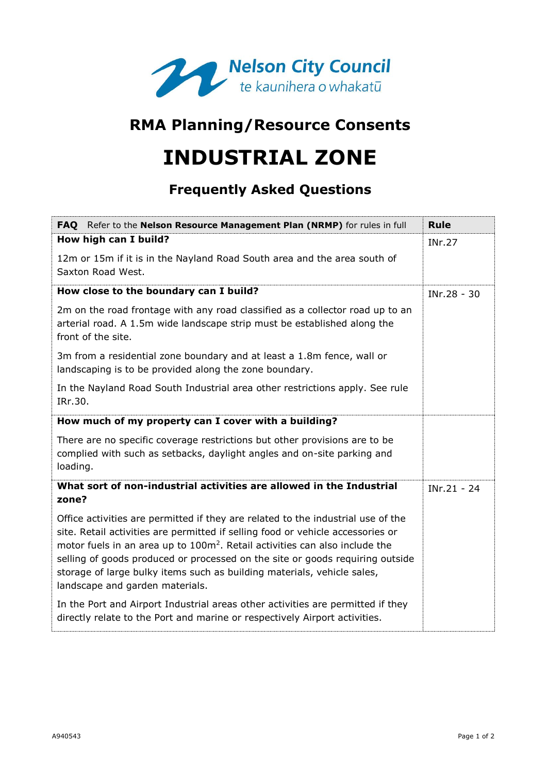

## **RMA Planning/Resource Consents**

## **INDUSTRIAL ZONE**

## **Frequently Asked Questions**

| FAQ Refer to the Nelson Resource Management Plan (NRMP) for rules in full                                                                                                                                                                                                                                                                                                                                                                                     | <b>Rule</b>   |
|---------------------------------------------------------------------------------------------------------------------------------------------------------------------------------------------------------------------------------------------------------------------------------------------------------------------------------------------------------------------------------------------------------------------------------------------------------------|---------------|
| How high can I build?                                                                                                                                                                                                                                                                                                                                                                                                                                         | <b>INr.27</b> |
| 12m or 15m if it is in the Nayland Road South area and the area south of<br>Saxton Road West.                                                                                                                                                                                                                                                                                                                                                                 |               |
| How close to the boundary can I build?                                                                                                                                                                                                                                                                                                                                                                                                                        | INr.28 - 30   |
| 2m on the road frontage with any road classified as a collector road up to an<br>arterial road. A 1.5m wide landscape strip must be established along the<br>front of the site.                                                                                                                                                                                                                                                                               |               |
| 3m from a residential zone boundary and at least a 1.8m fence, wall or<br>landscaping is to be provided along the zone boundary.                                                                                                                                                                                                                                                                                                                              |               |
| In the Nayland Road South Industrial area other restrictions apply. See rule<br>IRr.30.                                                                                                                                                                                                                                                                                                                                                                       |               |
| How much of my property can I cover with a building?                                                                                                                                                                                                                                                                                                                                                                                                          |               |
| There are no specific coverage restrictions but other provisions are to be<br>complied with such as setbacks, daylight angles and on-site parking and<br>loading.                                                                                                                                                                                                                                                                                             |               |
| What sort of non-industrial activities are allowed in the Industrial<br>zone?                                                                                                                                                                                                                                                                                                                                                                                 | INr.21 - 24   |
| Office activities are permitted if they are related to the industrial use of the<br>site. Retail activities are permitted if selling food or vehicle accessories or<br>motor fuels in an area up to 100m <sup>2</sup> . Retail activities can also include the<br>selling of goods produced or processed on the site or goods requiring outside<br>storage of large bulky items such as building materials, vehicle sales,<br>landscape and garden materials. |               |
| In the Port and Airport Industrial areas other activities are permitted if they<br>directly relate to the Port and marine or respectively Airport activities.                                                                                                                                                                                                                                                                                                 |               |